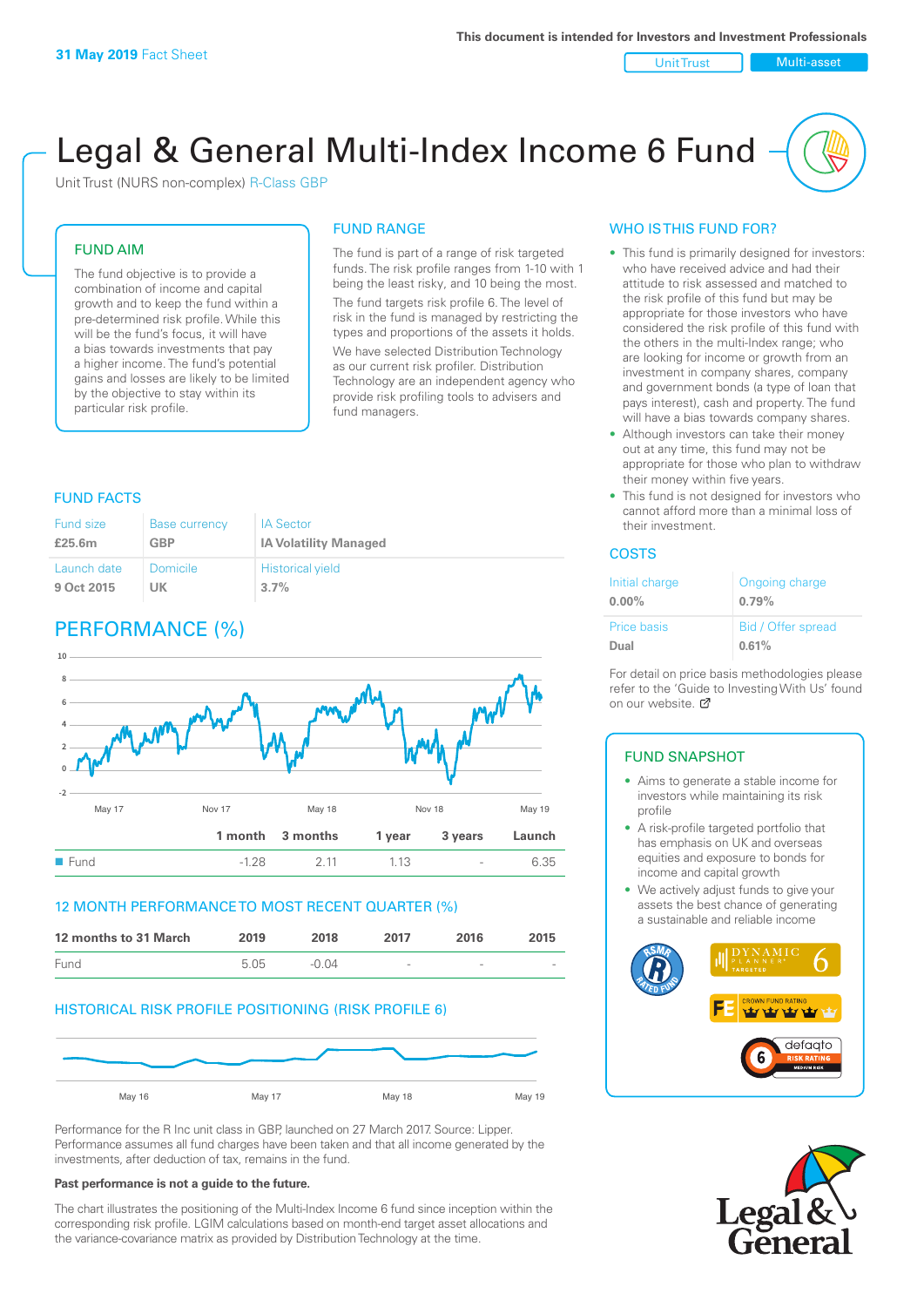Unit Trust Multi-asset

# Legal & General Multi-Index Income 6 Fund

Unit Trust (NURS non-complex) R-Class GBP

#### FUND AIM

The fund objective is to provide a combination of income and capital growth and to keep the fund within a pre-determined risk profile. While this will be the fund's focus, it will have a bias towards investments that pay a higher income. The fund's potential gains and losses are likely to be limited by the objective to stay within its particular risk profile.

#### FUND RANGE

The fund is part of a range of risk targeted funds. The risk profile ranges from 1-10 with 1 being the least risky, and 10 being the most. The fund targets risk profile 6. The level of risk in the fund is managed by restricting the types and proportions of the assets it holds. We have selected Distribution Technology as our current risk profiler. Distribution Technology are an independent agency who provide risk profiling tools to advisers and fund managers.

#### FUND FACTS

| Fund size   | Base currency | <b>IA Sector</b>             |
|-------------|---------------|------------------------------|
| £25.6m      | <b>GBP</b>    | <b>IA Volatility Managed</b> |
| Launch date | Domicile      | <b>Historical yield</b>      |
| 9 Oct 2015  | UK            | 3.7%                         |

## PERFORMANCE (%)



#### 12 MONTH PERFORMANCE TO MOST RECENT QUARTER (%)



#### HISTORICAL RISK PROFILE POSITIONING (RISK PROFILE 6)



Performance for the R Inc unit class in GBP, launched on 27 March 2017. Source: Lipper. Performance assumes all fund charges have been taken and that all income generated by the investments, after deduction of tax, remains in the fund.

#### **Past performance is not a guide to the future.**

The chart illustrates the positioning of the Multi-Index Income 6 fund since inception within the corresponding risk profile. LGIM calculations based on month-end target asset allocations and the variance-covariance matrix as provided by Distribution Technology at the time.

#### WHO IS THIS FUND FOR?

- This fund is primarily designed for investors: who have received advice and had their attitude to risk assessed and matched to the risk profile of this fund but may be appropriate for those investors who have considered the risk profile of this fund with the others in the multi-Index range; who are looking for income or growth from an investment in company shares, company and government bonds (a type of loan that pays interest), cash and property. The fund will have a bias towards company shares.
- Although investors can take their money out at any time, this fund may not be appropriate for those who plan to withdraw their money within five years.
- This fund is not designed for investors who cannot afford more than a minimal loss of their investment.

#### **COSTS**

| Initial charge<br>$0.00\%$ | Ongoing charge<br>0.79% |
|----------------------------|-------------------------|
| <b>Price basis</b>         | Bid / Offer spread      |
| Dual                       | 0.61%                   |

For detail on price basis methodologies please refer to the 'Guide to Investing With Us' found on our website. [7]

## FUND SNAPSHOT

- Aims to generate a stable income for investors while maintaining its risk profile
- A risk-profile targeted portfolio that has emphasis on UK and overseas equities and exposure to bonds for income and capital growth
- We actively adjust funds to give your assets the best chance of generating a sustainable and reliable income



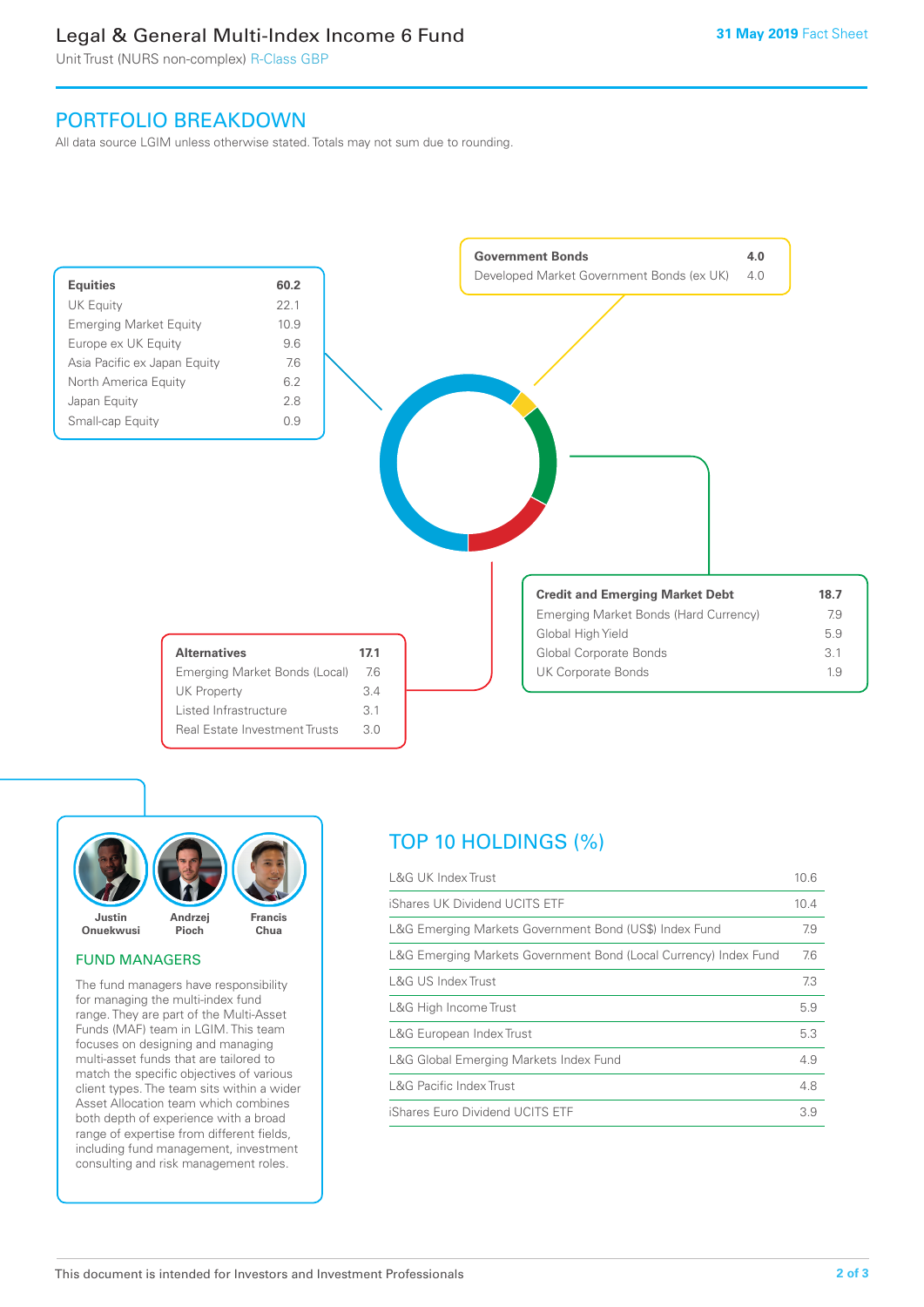## Legal & General Multi-Index Income 6 Fund

Unit Trust (NURS non-complex) R-Class GBP

## PORTFOLIO BREAKDOWN

All data source LGIM unless otherwise stated. Totals may not sum due to rounding.





#### FUND MANAGERS

The fund managers have responsibility for managing the multi-index fund range. They are part of the Multi-Asset Funds (MAF) team in LGIM. This team focuses on designing and managing multi-asset funds that are tailored to match the specific objectives of various client types. The team sits within a wider Asset Allocation team which combines both depth of experience with a broad range of expertise from different fields, including fund management, investment consulting and risk management roles.

# TOP 10 HOLDINGS (%)

| <b>L&amp;G UK Index Trust</b>                                    | 10.6 |
|------------------------------------------------------------------|------|
| iShares UK Dividend UCITS ETF                                    | 10.4 |
| L&G Emerging Markets Government Bond (US\$) Index Fund           | 7.9  |
| L&G Emerging Markets Government Bond (Local Currency) Index Fund | 7.6  |
| <b>L&amp;G US Index Trust</b>                                    | 7.3  |
| L&G High Income Trust                                            | 5.9  |
| L&G European Index Trust                                         | 5.3  |
| L&G Global Emerging Markets Index Fund                           | 4.9  |
| <b>L&amp;G Pacific Index Trust</b>                               | 4.8  |
| iShares Euro Dividend UCITS ETF                                  | 3.9  |